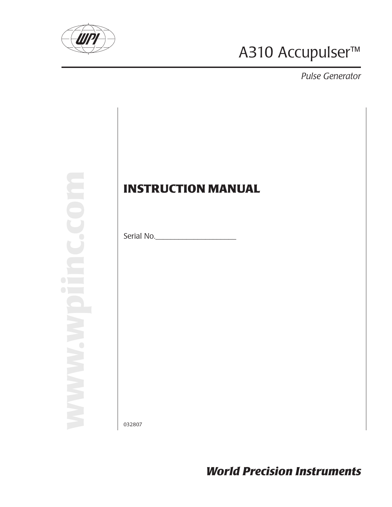

# A310 Accupulser™

*Pulse Generator*

**www.wpiinc.com**

# **INSTRUCTION MANUAL**

Serial No.\_\_\_\_\_\_\_\_\_\_\_\_\_\_\_\_\_\_\_\_\_

032807

*World Precision Instruments*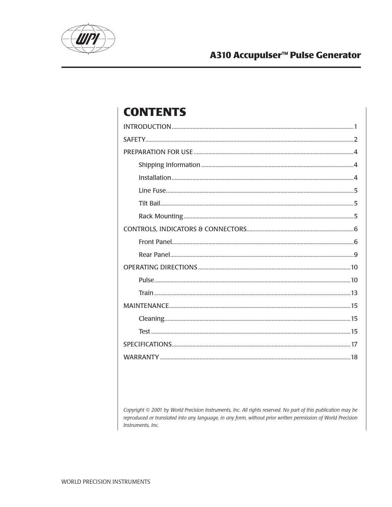

### A310 Accupulser<sup>™</sup> Pulse Generator

# **CONTENTS**

Copyright © 2001 by World Precision Instruments, Inc. All rights reserved. No part of this publication may be reproduced or translated into any language, in any form, without prior written permission of World Precision Instruments, Inc.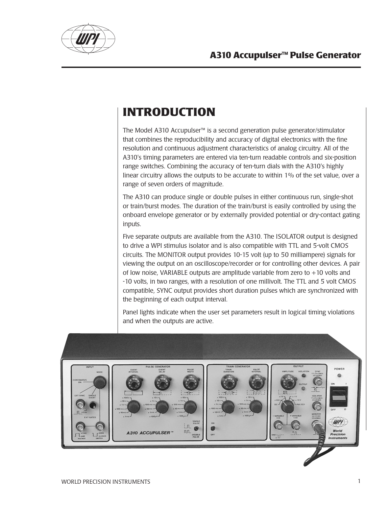

# **INTRODUCTION**

The Model A310 Accupulser™ is a second generation pulse generator/stimulator that combines the reproducibility and accuracy of digital electronics with the fine resolution and continuous adjustment characteristics of analog circuitry. All of the A310's timing parameters are entered via ten-turn readable controls and six-position range switches. Combining the accuracy of ten-turn dials with the A310's highly linear circuitry allows the outputs to be accurate to within 1% of the set value, over a range of seven orders of magnitude.

The A310 can produce single or double pulses in either continuous run, single-shot or train/burst modes. The duration of the train/burst is easily controlled by using the onboard envelope generator or by externally provided potential or dry-contact gating inputs.

Five separate outputs are available from the A310. The ISOLATOR output is designed to drive a WPI stimulus isolator and is also compatible with TTL and 5-volt CMOS circuits. The MONITOR output provides 10-15 volt (up to 50 milliampere) signals for viewing the output on an oscilloscope/recorder or for controlling other devices. A pair of low noise, VARIABLE outputs are amplitude variable from zero to  $+10$  volts and -10 volts, in two ranges, with a resolution of one millivolt. The TTL and 5 volt CMOS compatible, SYNC output provides short duration pulses which are synchronized with the beginning of each output interval.

Panel lights indicate when the user set parameters result in logical timing violations and when the outputs are active.

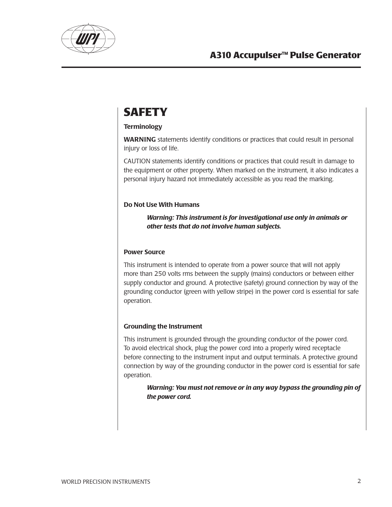

# **SAFETY**

#### **Terminology**

WARNING statements identify conditions or practices that could result in personal injury or loss of life.

CAUTION statements identify conditions or practices that could result in damage to the equipment or other property. When marked on the instrument, it also indicates a personal injury hazard not immediately accessible as you read the marking.

#### Do Not Use With Humans

*Warning: This instrument is for investigational use only in animals or other tests that do not involve human subjects.*

#### Power Source

This instrument is intended to operate from a power source that will not apply more than 250 volts rms between the supply (mains) conductors or between either supply conductor and ground. A protective (safety) ground connection by way of the grounding conductor (green with yellow stripe) in the power cord is essential for safe operation.

### Grounding the Instrument

This instrument is grounded through the grounding conductor of the power cord. To avoid electrical shock, plug the power cord into a properly wired receptacle before connecting to the instrument input and output terminals. A protective ground connection by way of the grounding conductor in the power cord is essential for safe operation.

*Warning: You must not remove or in any way bypass the grounding pin of the power cord.*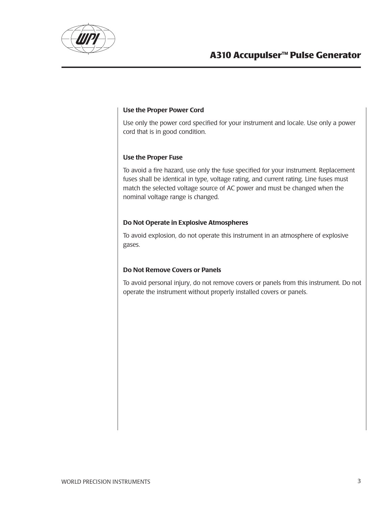

#### Use the Proper Power Cord

Use only the power cord specified for your instrument and locale. Use only a power cord that is in good condition.

#### Use the Proper Fuse

To avoid a fire hazard, use only the fuse specified for your instrument. Replacement fuses shall be identical in type, voltage rating, and current rating. Line fuses must match the selected voltage source of AC power and must be changed when the nominal voltage range is changed.

#### Do Not Operate in Explosive Atmospheres

To avoid explosion, do not operate this instrument in an atmosphere of explosive gases.

#### Do Not Remove Covers or Panels

To avoid personal injury, do not remove covers or panels from this instrument. Do not operate the instrument without properly installed covers or panels.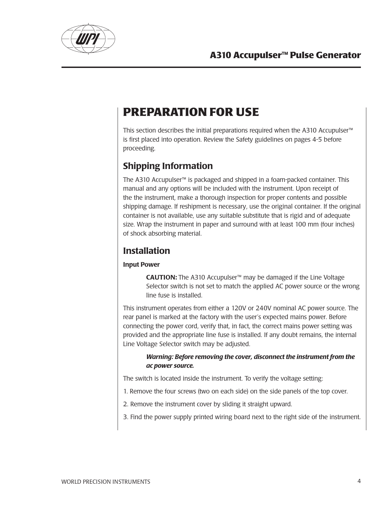

# **PREPARATION FOR USE**

This section describes the initial preparations required when the A310 Accupulser<sup>™</sup> is first placed into operation. Review the Safety guidelines on pages 4-5 before proceeding.

### Shipping Information

The A310 Accupulser™ is packaged and shipped in a foam-packed container. This manual and any options will be included with the instrument. Upon receipt of the the instrument, make a thorough inspection for proper contents and possible shipping damage. If reshipment is necessary, use the original container. If the original container is not available, use any suitable substitute that is rigid and of adequate size. Wrap the instrument in paper and surround with at least 100 mm (four inches) of shock absorbing material.

### **Installation**

### Input Power

CAUTION: The A310 Accupulser™ may be damaged if the Line Voltage Selector switch is not set to match the applied AC power source or the wrong line fuse is installed.

This instrument operates from either a 120V or 240V nominal AC power source. The rear panel is marked at the factory with the user's expected mains power. Before connecting the power cord, verify that, in fact, the correct mains power setting was provided and the appropriate line fuse is installed. If any doubt remains, the internal Line Voltage Selector switch may be adjusted.

#### *Warning: Before removing the cover, disconnect the instrument from the ac power source.*

The switch is located inside the instrument. To verify the voltage setting:

- 1. Remove the four screws (two on each side) on the side panels of the top cover.
- 2. Remove the instrument cover by sliding it straight upward.
- 3. Find the power supply printed wiring board next to the right side of the instrument.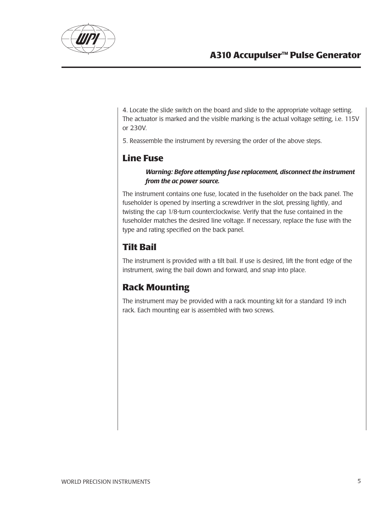

4. Locate the slide switch on the board and slide to the appropriate voltage setting. The actuator is marked and the visible marking is the actual voltage setting, i.e. 115V or 230V.

5. Reassemble the instrument by reversing the order of the above steps.

### **Line Fuse**

#### *Warning: Before attempting fuse replacement, disconnect the instrument from the ac power source.*

The instrument contains one fuse, located in the fuseholder on the back panel. The fuseholder is opened by inserting a screwdriver in the slot, pressing lightly, and twisting the cap 1/8-turn counterclockwise. Verify that the fuse contained in the fuseholder matches the desired line voltage. If necessary, replace the fuse with the type and rating specified on the back panel.

### **Tilt Bail**

The instrument is provided with a tilt bail. If use is desired, lift the front edge of the instrument, swing the bail down and forward, and snap into place.

### **Rack Mounting**

The instrument may be provided with a rack mounting kit for a standard 19 inch rack. Each mounting ear is assembled with two screws.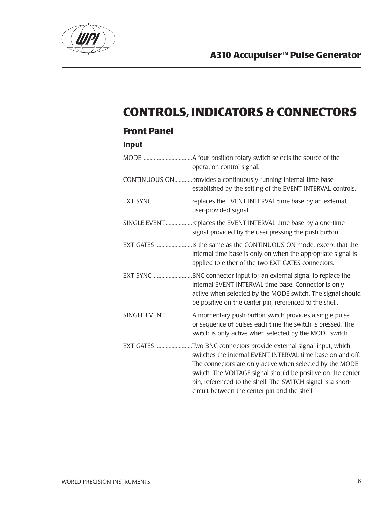

# **CONTROLS, INDICATORS & CONNECTORS**

# **Front Panel**

| <b>Input</b> |                                                                                                                                                                                                                                                                                                                                                                            |
|--------------|----------------------------------------------------------------------------------------------------------------------------------------------------------------------------------------------------------------------------------------------------------------------------------------------------------------------------------------------------------------------------|
|              | operation control signal.                                                                                                                                                                                                                                                                                                                                                  |
|              | CONTINUOUS ONprovides a continuously running internal time base<br>established by the setting of the EVENT INTERVAL controls.                                                                                                                                                                                                                                              |
|              | EXT SYNC replaces the EVENT INTERVAL time base by an external,<br>user-provided signal.                                                                                                                                                                                                                                                                                    |
|              | SINGLE EVENT replaces the EVENT INTERVAL time base by a one-time<br>signal provided by the user pressing the push button.                                                                                                                                                                                                                                                  |
|              | EXT GATES is the same as the CONTINUOUS ON mode, except that the<br>internal time base is only on when the appropriate signal is<br>applied to either of the two EXT GATES connectors.                                                                                                                                                                                     |
|              | EXT SYNC BNC connector input for an external signal to replace the<br>internal EVENT INTERVAL time base. Connector is only<br>active when selected by the MODE switch. The signal should<br>be positive on the center pin, referenced to the shell.                                                                                                                        |
|              | or sequence of pulses each time the switch is pressed. The<br>switch is only active when selected by the MODE switch.                                                                                                                                                                                                                                                      |
|              | EXT GATES Two BNC connectors provide external signal input, which<br>switches the internal EVENT INTERVAL time base on and off.<br>The connectors are only active when selected by the MODE<br>switch. The VOLTAGE signal should be positive on the center<br>pin, referenced to the shell. The SWITCH signal is a short-<br>circuit between the center pin and the shell. |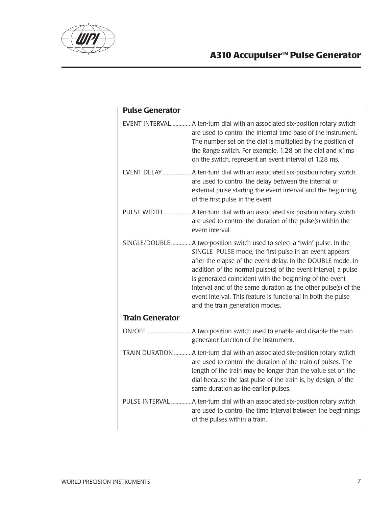

### Pulse Generator

|                        | EVENT INTERVALA ten-turn dial with an associated six-position rotary switch<br>are used to control the internal time base of the instrument.<br>The number set on the dial is multiplied by the position of<br>the Range switch. For example, 1.28 on the dial and x1ms<br>on the switch, represent an event interval of 1.28 ms.                                                                                                                                                                    |
|------------------------|------------------------------------------------------------------------------------------------------------------------------------------------------------------------------------------------------------------------------------------------------------------------------------------------------------------------------------------------------------------------------------------------------------------------------------------------------------------------------------------------------|
|                        | are used to control the delay between the internal or<br>external pulse starting the event interval and the beginning<br>of the first pulse in the event.                                                                                                                                                                                                                                                                                                                                            |
|                        | are used to control the duration of the pulse(s) within the<br>event interval.                                                                                                                                                                                                                                                                                                                                                                                                                       |
|                        | SINGLE/DOUBLE A two-position switch used to select a "twin" pulse. In the<br>SINGLE PULSE mode, the first pulse in an event appears<br>after the elapse of the event delay. In the DOUBLE mode, in<br>addition of the normal pulse(s) of the event interval, a pulse<br>is generated coincident with the beginning of the event<br>interval and of the same duration as the other pulse(s) of the<br>event interval. This feature is functional in both the pulse<br>and the train generation modes. |
| <b>Train Generator</b> |                                                                                                                                                                                                                                                                                                                                                                                                                                                                                                      |
|                        | generator function of the instrument.                                                                                                                                                                                                                                                                                                                                                                                                                                                                |
|                        | TRAIN DURATION  A ten-turn dial with an associated six-position rotary switch<br>are used to control the duration of the train of pulses. The<br>length of the train may be longer than the value set on the<br>dial because the last pulse of the train is, by design, of the<br>same duration as the earlier pulses.                                                                                                                                                                               |
|                        | PULSE INTERVAL A ten-turn dial with an associated six-position rotary switch<br>are used to control the time interval between the beginnings<br>of the pulses within a train.                                                                                                                                                                                                                                                                                                                        |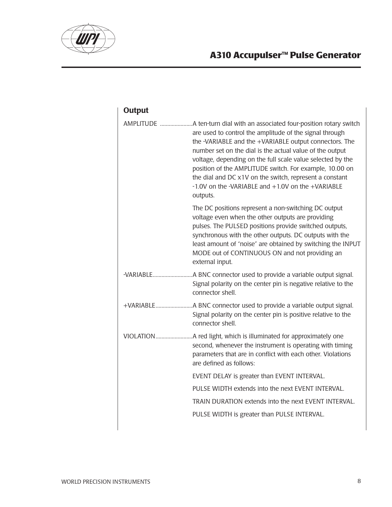

# **A310 Accupulser™ Pulse Generator**

| <b>Output</b> |                                                                                                                                                                                                                                                                                                                                                                                                                                    |
|---------------|------------------------------------------------------------------------------------------------------------------------------------------------------------------------------------------------------------------------------------------------------------------------------------------------------------------------------------------------------------------------------------------------------------------------------------|
|               | are used to control the amplitude of the signal through<br>the -VARIABLE and the +VARIABLE output connectors. The<br>number set on the dial is the actual value of the output<br>voltage, depending on the full scale value selected by the<br>position of the AMPLITUDE switch. For example, 10.00 on<br>the dial and DC x1V on the switch, represent a constant<br>-1.0V on the -VARIABLE and +1.0V on the +VARIABLE<br>outputs. |
|               | The DC positions represent a non-switching DC output<br>voltage even when the other outputs are providing<br>pulses. The PULSED positions provide switched outputs,<br>synchronous with the other outputs. DC outputs with the<br>least amount of "noise" are obtained by switching the INPUT<br>MODE out of CONTINUOUS ON and not providing an<br>external input.                                                                 |
|               | Signal polarity on the center pin is negative relative to the<br>connector shell.                                                                                                                                                                                                                                                                                                                                                  |
|               | Signal polarity on the center pin is positive relative to the<br>connector shell.                                                                                                                                                                                                                                                                                                                                                  |
|               | second, whenever the instrument is operating with timing<br>parameters that are in conflict with each other. Violations<br>are defined as follows:                                                                                                                                                                                                                                                                                 |
|               | EVENT DELAY is greater than EVENT INTERVAL.                                                                                                                                                                                                                                                                                                                                                                                        |
|               | PULSE WIDTH extends into the next EVENT INTERVAL.                                                                                                                                                                                                                                                                                                                                                                                  |
|               | TRAIN DURATION extends into the next EVENT INTERVAL.                                                                                                                                                                                                                                                                                                                                                                               |
|               | PULSE WIDTH is greater than PULSE INTERVAL.                                                                                                                                                                                                                                                                                                                                                                                        |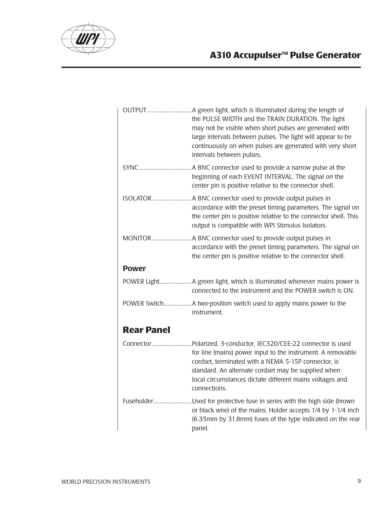

## **A310 Accupulser™ Pulse Generator**

|                   | the PULSE WIDTH and the TRAIN DURATION. The light<br>may not be visible when short pulses are generated with<br>large intervals between pulses. The light will appear to be<br>continuously on when pulses are generated with very short<br>intervals between pulses.                                                      |
|-------------------|----------------------------------------------------------------------------------------------------------------------------------------------------------------------------------------------------------------------------------------------------------------------------------------------------------------------------|
|                   | A BNC connector used to provide a narrow pulse at the<br>beginning of each EVENT INTERVAL. The signal on the<br>center pin is positive relative to the connector shell.                                                                                                                                                    |
| <b>ISOLATOR</b>   | .A BNC connector used to provide output pulses in<br>accordance with the preset timing parameters. The signal on<br>the center pin is positive relative to the connector shell. This<br>output is compatible with WPI Stimulus Isolators.                                                                                  |
|                   | accordance with the preset timing parameters. The signal on<br>the center pin is positive relative to the connector shell.                                                                                                                                                                                                 |
| <b>Power</b>      |                                                                                                                                                                                                                                                                                                                            |
|                   | connected to the instrument and the POWER switch is ON.                                                                                                                                                                                                                                                                    |
|                   | instrument.                                                                                                                                                                                                                                                                                                                |
| <b>Rear Panel</b> |                                                                                                                                                                                                                                                                                                                            |
|                   | Connector Polarized, 3-conductor, IEC320/CEE-22 connector is used<br>for line (mains) power input to the instrument. A removable<br>cordset, terminated with a NEMA 5-15P connector, is<br>standard. An alternate cordset may be supplied when<br>local circumstances dictate different mains voltages and<br>connections. |
|                   | FuseholderUsed for protective fuse in series with the high side (brown<br>or black wire) of the mains. Holder accepts 1/4 by 1-1/4 inch<br>(6.35mm by 31.8mm) fuses of the type indicated on the rear<br>panel.                                                                                                            |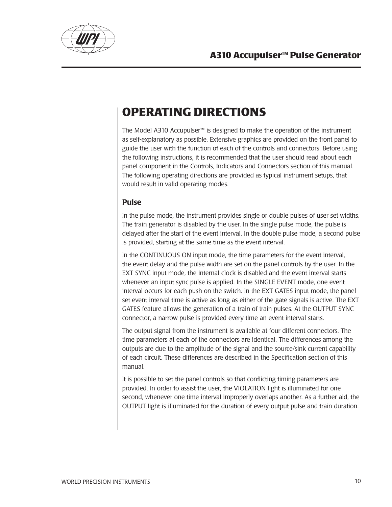

# **OPERATING DIRECTIONS**

The Model A310 Accupulser™ is designed to make the operation of the instrument as self-explanatory as possible. Extensive graphics are provided on the front panel to guide the user with the function of each of the controls and connectors. Before using the following instructions, it is recommended that the user should read about each panel component in the Controls, Indicators and Connectors section of this manual. The following operating directions are provided as typical instrument setups, that would result in valid operating modes.

### Pulse

In the pulse mode, the instrument provides single or double pulses of user set widths. The train generator is disabled by the user. In the single pulse mode, the pulse is delayed after the start of the event interval. In the double pulse mode, a second pulse is provided, starting at the same time as the event interval.

In the CONTINUOUS ON input mode, the time parameters for the event interval, the event delay and the pulse width are set on the panel controls by the user. In the EXT SYNC input mode, the internal clock is disabled and the event interval starts whenever an input sync pulse is applied. In the SINGLE EVENT mode, one event interval occurs for each push on the switch. In the EXT GATES input mode, the panel set event interval time is active as long as either of the gate signals is active. The EXT GATES feature allows the generation of a train of train pulses. At the OUTPUT SYNC connector, a narrow pulse is provided every time an event interval starts.

The output signal from the instrument is available at four different connectors. The time parameters at each of the connectors are identical. The differences among the outputs are due to the amplitude of the signal and the source/sink current capability of each circuit. These differences are described in the Specification section of this manual.

It is possible to set the panel controls so that conflicting timing parameters are provided. In order to assist the user, the VIOLATION light is illuminated for one second, whenever one time interval improperly overlaps another. As a further aid, the OUTPUT light is illuminated for the duration of every output pulse and train duration.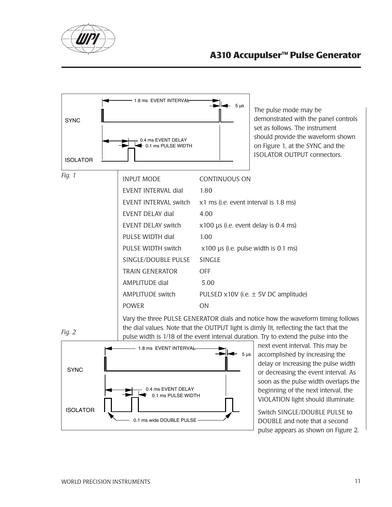





Vary the three PULSE GENERATOR dials and notice how the waveform timing follows the dial values. Note that the OUTPUT light is dimly lit, reflecting the fact that the pulse width is 1/18 of the event interval duration. Try to extend the pulse into the



next event interval. This may be accomplished by increasing the delay or increasing the pulse width or decreasing the event interval. As soon as the pulse width overlaps the beginning of the next interval, the VIOLATION light should illuminate.

Switch SINGLE/DOUBLE PULSE to DOUBLE and note that a second pulse appears as shown on Figure 2.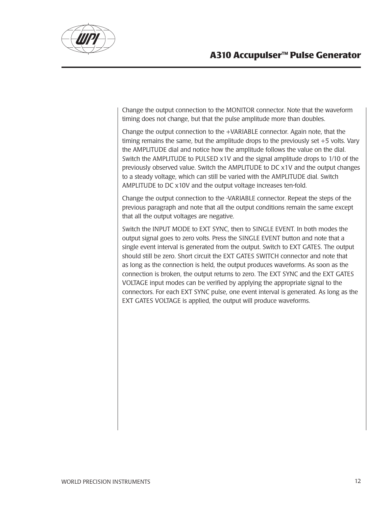

Change the output connection to the MONITOR connector. Note that the waveform timing does not change, but that the pulse amplitude more than doubles.

Change the output connection to the +VARIABLE connector. Again note, that the timing remains the same, but the amplitude drops to the previously set +5 volts. Vary the AMPLITUDE dial and notice how the amplitude follows the value on the dial. Switch the AMPLITUDE to PULSED x1V and the signal amplitude drops to 1/10 of the previously observed value. Switch the AMPLITUDE to DC x1V and the output changes to a steady voltage, which can still be varied with the AMPLITUDE dial. Switch AMPLITUDE to DC x10V and the output voltage increases ten-fold.

Change the output connection to the -VARIABLE connector. Repeat the steps of the previous paragraph and note that all the output conditions remain the same except that all the output voltages are negative.

Switch the INPUT MODE to EXT SYNC, then to SINGLE EVENT. In both modes the output signal goes to zero volts. Press the SINGLE EVENT button and note that a single event interval is generated from the output. Switch to EXT GATES. The output should still be zero. Short circuit the EXT GATES SWITCH connector and note that as long as the connection is held, the output produces waveforms. As soon as the connection is broken, the output returns to zero. The EXT SYNC and the EXT GATES VOLTAGE input modes can be verified by applying the appropriate signal to the connectors. For each EXT SYNC pulse, one event interval is generated. As long as the EXT GATES VOLTAGE is applied, the output will produce waveforms.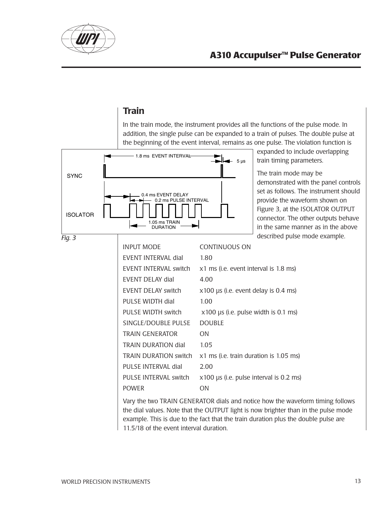

### Train

In the train mode, the instrument provides all the functions of the pulse mode. In addition, the single pulse can be expanded to a train of pulses. The double pulse at the beginning of the event interval, remains as one pulse. The violation function is



expanded to include overlapping train timing parameters.

The train mode may be demonstrated with the panel controls set as follows. The instrument should provide the waveform shown on Figure 3, at the ISOLATOR OUTPUT connector. The other outputs behave in the same manner as in the above kample.

| g. 3 |                              | described pulse mode ex                                            |
|------|------------------------------|--------------------------------------------------------------------|
|      | <b>INPUT MODE</b>            | <b>CONTINUOUS ON</b>                                               |
|      | EVENT INTERVAL dial          | 1.80                                                               |
|      | EVENT INTERVAL switch        | x1 ms (i.e. event interval is 1.8 ms)                              |
|      | EVENT DELAY dial             | 4.00                                                               |
|      | <b>EVENT DELAY switch</b>    | x100 µs (i.e. event delay is 0.4 ms)                               |
|      | PULSE WIDTH dial             | 1.00                                                               |
|      | PULSE WIDTH switch           | $x100$ µs (i.e. pulse width is 0.1 ms)                             |
|      | SINGLE/DOUBLE PULSE          | <b>DOUBLE</b>                                                      |
|      | <b>TRAIN GENERATOR</b>       | <b>ON</b>                                                          |
|      | <b>TRAIN DURATION dial</b>   | 1.05                                                               |
|      | <b>TRAIN DURATION switch</b> | x1 ms (i.e. train duration is 1.05 ms)                             |
|      | PULSE INTERVAL dial          | 2.00                                                               |
|      | PULSE INTERVAL switch        | x100 µs (i.e. pulse interval is 0.2 ms)                            |
|      | <b>POWER</b>                 | <b>ON</b>                                                          |
|      |                              | Van the two TDAIN CENEDATOR dials and notice how the waveform timi |

Vary the two TRAIN GENERATOR dials and notice how the waveform timing follows the dial values. Note that the OUTPUT light is now brighter than in the pulse mode example. This is due to the fact that the train duration plus the double pulse are 11.5/18 of the event interval duration.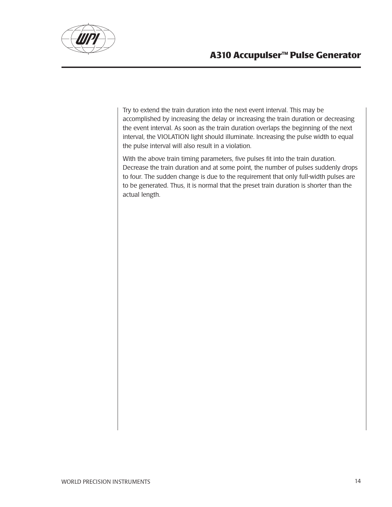



Try to extend the train duration into the next event interval. This may be accomplished by increasing the delay or increasing the train duration or decreasing the event interval. As soon as the train duration overlaps the beginning of the next interval, the VIOLATION light should illuminate. Increasing the pulse width to equal the pulse interval will also result in a violation.

With the above train timing parameters, five pulses fit into the train duration. Decrease the train duration and at some point, the number of pulses suddenly drops to four. The sudden change is due to the requirement that only full-width pulses are to be generated. Thus, it is normal that the preset train duration is shorter than the actual length.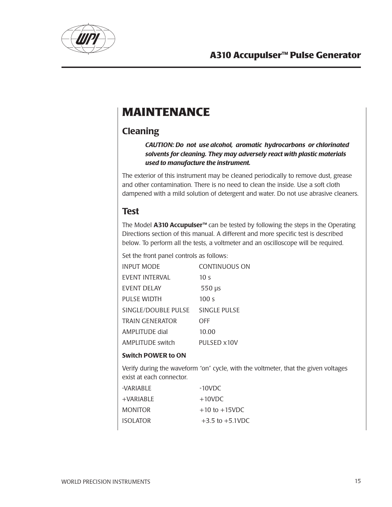

# **MAINTENANCE**

### **Cleaning**

*CAUTION: Do not use alcohol, aromatic hydrocarbons or chlorinated solvents for cleaning. They may adversely react with plastic materials used to manufacture the instrument.*

The exterior of this instrument may be cleaned periodically to remove dust, grease and other contamination. There is no need to clean the inside. Use a soft cloth dampened with a mild solution of detergent and water. Do not use abrasive cleaners.

### Test

The Model A310 Accupulser<sup>™</sup> can be tested by following the steps in the Operating Directions section of this manual. A different and more specific test is described below. To perform all the tests, a voltmeter and an oscilloscope will be required.

Set the front panel controls as follows:

| INPUT MODE             | <b>CONTINUOUS ON</b> |
|------------------------|----------------------|
| EVENT INTERVAL         | 10 <sub>s</sub>      |
| EVENT DELAY            | $550 \mu s$          |
| <b>PULSE WIDTH</b>     | 100 <sub>s</sub>     |
| SINGLE/DOUBLE PULSE    | SINGLE PULSE         |
| <b>TRAIN GENERATOR</b> | OFF                  |
| AMPLITUDE dial         | 10.00                |
| AMPLITUDE switch       | PULSED x10V          |

### Switch POWER to ON

Verify during the waveform "on" cycle, with the voltmeter, that the given voltages exist at each connector.

| -VARIABLE | $-10$ VDC            |
|-----------|----------------------|
| +VARIABLE | $+10$ VDC            |
| MONITOR   | $+10$ to $+15$ VDC   |
| ISOLATOR  | $+3.5$ to $+5.1$ VDC |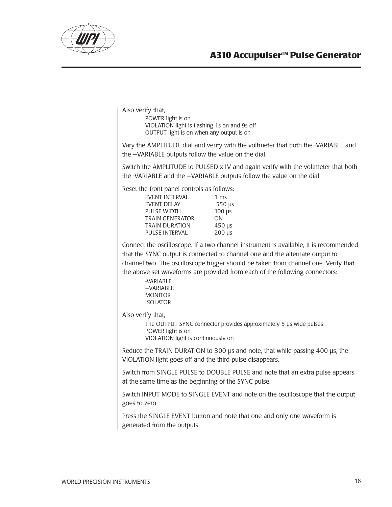

### **A310 Accupulser™ Pulse Generator**

Also verify that,

POWER light is on VIOLATION light is flashing 1s on and 9s off OUTPUT light is on when any output is on

Vary the AMPLITUDE dial and verify with the voltmeter that both the -VARIABLE and the +VARIABLE outputs follow the value on the dial.

Switch the AMPLITUDE to PULSED x1V and again verify with the voltmeter that both the -VARIABLE and the +VARIABLE outputs follow the value on the dial.

Reset the front panel controls as follows:

| $1 \text{ ms}$            |
|---------------------------|
| $550 \,\mu s$             |
| $100 \mu s$               |
| ON                        |
| $450 \,\mu s$             |
| $200 \text{ }\mu\text{s}$ |
|                           |

Connect the oscilloscope. If a two channel instrument is available, it is recommended that the SYNC output is connected to channel one and the alternate output to channel two. The oscilloscope trigger should be taken from channel one. Verify that the above set waveforms are provided from each of the following connectors:

-VARIABLE +VARIABLE MONITOR ISOLATOR

Also verify that,

The OUTPUT SYNC connector provides approximately 5 µs wide pulses POWER light is on VIOLATION light is continuously on

Reduce the TRAIN DURATION to 300 µs and note, that while passing 400 µs, the VIOLATION light goes off and the third pulse disappears.

Switch from SINGLE PULSE to DOUBLE PULSE and note that an extra pulse appears at the same time as the beginning of the SYNC pulse.

Switch INPUT MODE to SINGLE EVENT and note on the oscilloscope that the output goes to zero.

Press the SINGLE EVENT button and note that one and only one waveform is generated from the outputs.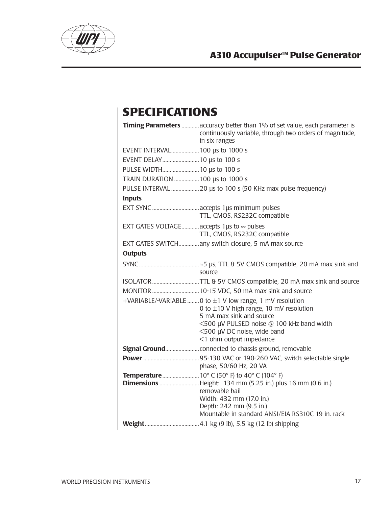

# **SPECIFICATIONS**

|                                                        | Timing Parameters  accuracy better than 1% of set value, each parameter is<br>continuously variable, through two orders of magnitude,<br>in six ranges                                                                                         |
|--------------------------------------------------------|------------------------------------------------------------------------------------------------------------------------------------------------------------------------------------------------------------------------------------------------|
| EVENT INTERVAL 100 µs to 1000 s                        |                                                                                                                                                                                                                                                |
| EVENT DELAY 10 µs to 100 s                             |                                                                                                                                                                                                                                                |
| PULSE WIDTH 10 µs to 100 s                             |                                                                                                                                                                                                                                                |
| TRAIN DURATION  100 µs to 1000 s                       |                                                                                                                                                                                                                                                |
|                                                        |                                                                                                                                                                                                                                                |
| <b>Inputs</b>                                          |                                                                                                                                                                                                                                                |
|                                                        | EXT SYNC  accepts 1µs minimum pulses<br>TTL, CMOS, RS232C compatible                                                                                                                                                                           |
| EXT GATES VOLTAGE accepts 1 $\mu$ s to $\infty$ pulses | TTL, CMOS, RS232C compatible                                                                                                                                                                                                                   |
|                                                        | EXT GATES SWITCH any switch closure, 5 mA max source                                                                                                                                                                                           |
| <b>Outputs</b>                                         |                                                                                                                                                                                                                                                |
|                                                        | source                                                                                                                                                                                                                                         |
|                                                        | ISOLATOR TTL & 5V CMOS compatible, 20 mA max sink and source                                                                                                                                                                                   |
|                                                        |                                                                                                                                                                                                                                                |
|                                                        | +VARIABLE/-VARIABLE  0 to ±1 V low range, 1 mV resolution<br>0 to $\pm$ 10 V high range, 10 mV resolution<br>5 mA max sink and source<br><500 µV PULSED noise @ 100 kHz band width<br><500 µV DC noise, wide band<br><1 ohm output impedance   |
|                                                        |                                                                                                                                                                                                                                                |
|                                                        | phase, 50/60 Hz, 20 VA                                                                                                                                                                                                                         |
|                                                        | Temperature  10° C (50° F) to 40° C (104° F)<br><b>Dimensions</b> Height: 134 mm (5.25 in.) plus 16 mm (0.6 in.)<br>removable bail<br>Width: 432 mm (17.0 in.)<br>Depth: 242 mm (9.5 in.)<br>Mountable in standard ANSI/EIA RS310C 19 in. rack |
|                                                        |                                                                                                                                                                                                                                                |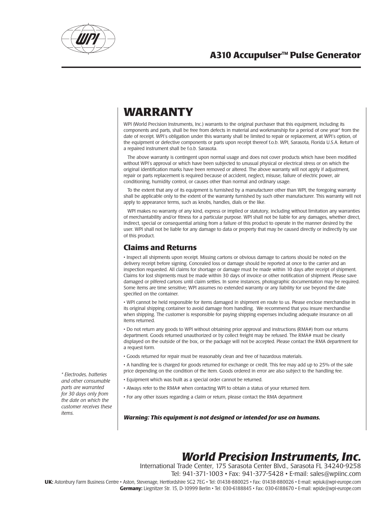

## **Warranty**

WPI (World Precision Instruments, Inc.) warrants to the original purchaser that this equipment, including its components and parts, shall be free from defects in material and workmanship for a period of one year\* from the date of receipt. WPI's obligation under this warranty shall be limited to repair or replacement, at WPI's option, of the equipment or defective components or parts upon receipt thereof f.o.b. WPI, Sarasota, Florida U.S.A. Return of a repaired instrument shall be f.o.b. Sarasota.

The above warranty is contingent upon normal usage and does not cover products which have been modified without WPI's approval or which have been subjected to unusual physical or electrical stress or on which the original identification marks have been removed or altered. The above warranty will not apply if adjustment, repair or parts replacement is required because of accident, neglect, misuse, failure of electric power, air conditioning, humidity control, or causes other than normal and ordinary usage.

To the extent that any of its equipment is furnished by a manufacturer other than WPI, the foregoing warranty shall be applicable only to the extent of the warranty furnished by such other manufacturer. This warranty will not apply to appearance terms, such as knobs, handles, dials or the like.

WPI makes no warranty of any kind, express or implied or statutory, including without limitation any warranties of merchantability and/or fitness for a particular purpose. WPI shall not be liable for any damages, whether direct, indirect, special or consequential arising from a failure of this product to operate in the manner desired by the user. WPI shall not be liable for any damage to data or property that may be caused directly or indirectly by use of this product.

### **Claims and Returns**

• Inspect all shipments upon receipt. Missing cartons or obvious damage to cartons should be noted on the delivery receipt before signing. Concealed loss or damage should be reported at once to the carrier and an inspection requested. All claims for shortage or damage must be made within 10 days after receipt of shipment. Claims for lost shipments must be made within 30 days of invoice or other notification of shipment. Please save damaged or pilfered cartons until claim settles. In some instances, photographic documentation may be required. Some items are time sensitive; WPI assumes no extended warranty or any liability for use beyond the date specified on the container.

• WPI cannot be held responsible for items damaged in shipment en route to us. Please enclose merchandise in its original shipping container to avoid damage from handling. We recommend that you insure merchandise when shipping. The customer is responsible for paying shipping expenses including adequate insurance on all items returned.

• Do not return any goods to WPI without obtaining prior approval and instructions (RMA#) from our returns department. Goods returned unauthorized or by collect freight may be refused. The RMA# must be clearly displayed on the outside of the box, or the package will not be accepted. Please contact the RMA department for a request form.

• Goods returned for repair must be reasonably clean and free of hazardous materials.

• A handling fee is charged for goods returned for exchange or credit. This fee may add up to 25% of the sale price depending on the condition of the item. Goods ordered in error are also subject to the handling fee.

- Equipment which was built as a special order cannot be returned.
- Always refer to the RMA# when contacting WPI to obtain a status of your returned item.
- For any other issues regarding a claim or return, please contact the RMA department

*Warning: This equipment is not designed or intended for use on humans.*

## *World Precision Instruments, Inc.*

UK: Astonbury Farm Business Centre • Aston, Stevenage, Hertfordshire SG2 7EG • Tel: 01438-880025 • Fax: 01438-880026 • E-mail: wpiuk@wpi-europe.com International Trade Center, 175 Sarasota Center Blvd., Sarasota FL 34240-9258 Tel: 941-371-1003 • Fax: 941-377-5428 • E-mail: sales@wpiinc.com **Germany:** Liegnitzer Str. 15, D-10999 Berlin • Tel: 030-6188845 • Fax: 030-6188670 • E-mail: wpide@wpi-europe.com

*\* Electrodes, batteries and other consumable parts are warranted for 30 days only from the date on which the customer receives these items.*